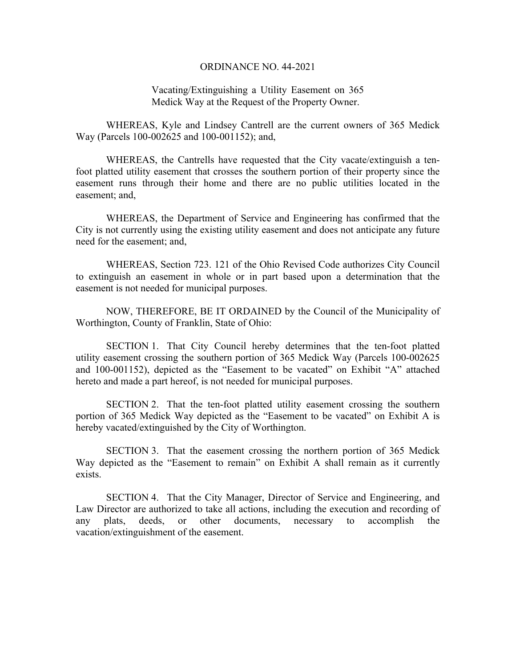## ORDINANCE NO. 44-2021

## Vacating/Extinguishing a Utility Easement on 365 Medick Way at the Request of the Property Owner.

WHEREAS, Kyle and Lindsey Cantrell are the current owners of 365 Medick Way (Parcels 100-002625 and 100-001152); and,

WHEREAS, the Cantrells have requested that the City vacate/extinguish a tenfoot platted utility easement that crosses the southern portion of their property since the easement runs through their home and there are no public utilities located in the easement; and,

WHEREAS, the Department of Service and Engineering has confirmed that the City is not currently using the existing utility easement and does not anticipate any future need for the easement; and,

WHEREAS, Section 723. 121 of the Ohio Revised Code authorizes City Council to extinguish an easement in whole or in part based upon a determination that the easement is not needed for municipal purposes.

 NOW, THEREFORE, BE IT ORDAINED by the Council of the Municipality of Worthington, County of Franklin, State of Ohio:

 SECTION 1. That City Council hereby determines that the ten-foot platted utility easement crossing the southern portion of 365 Medick Way (Parcels 100-002625 and 100-001152), depicted as the "Easement to be vacated" on Exhibit "A" attached hereto and made a part hereof, is not needed for municipal purposes.

 SECTION 2. That the ten-foot platted utility easement crossing the southern portion of 365 Medick Way depicted as the "Easement to be vacated" on Exhibit A is hereby vacated/extinguished by the City of Worthington.

SECTION 3. That the easement crossing the northern portion of 365 Medick Way depicted as the "Easement to remain" on Exhibit A shall remain as it currently exists.

 SECTION 4. That the City Manager, Director of Service and Engineering, and Law Director are authorized to take all actions, including the execution and recording of any plats, deeds, or other documents, necessary to accomplish the vacation/extinguishment of the easement.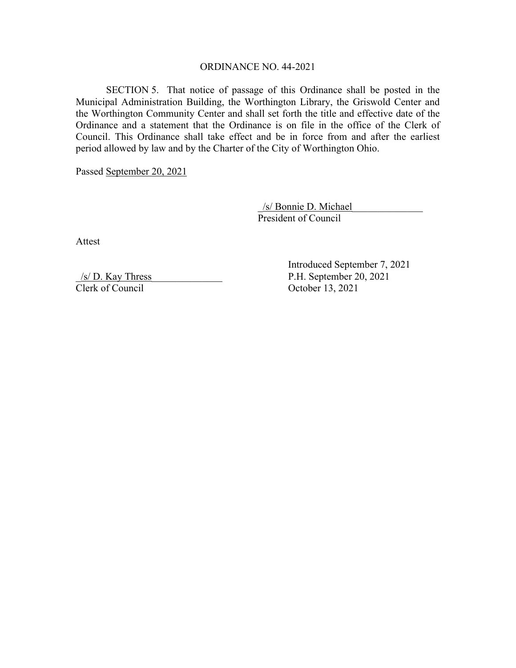## ORDINANCE NO. 44-2021

 SECTION 5. That notice of passage of this Ordinance shall be posted in the Municipal Administration Building, the Worthington Library, the Griswold Center and the Worthington Community Center and shall set forth the title and effective date of the Ordinance and a statement that the Ordinance is on file in the office of the Clerk of Council. This Ordinance shall take effect and be in force from and after the earliest period allowed by law and by the Charter of the City of Worthington Ohio.

Passed September 20, 2021

 \_/s/ Bonnie D. Michael\_\_\_\_\_\_\_\_\_\_\_\_\_\_ President of Council

Attest

\_/s/ D. Kay Thress\_\_\_\_\_\_\_\_\_\_\_\_\_\_ P.H. September 20, 2021 Clerk of Council October 13, 2021

Introduced September 7, 2021